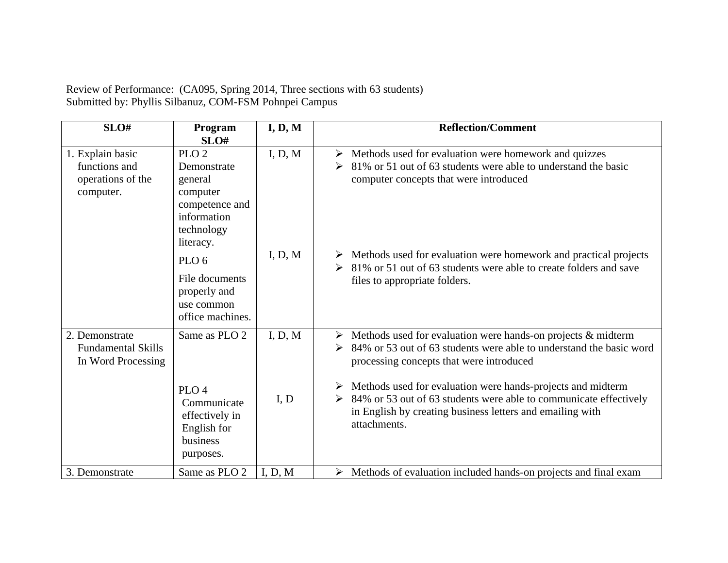Review of Performance: (CA095, Spring 2014, Three sections with 63 students) Submitted by: Phyllis Silbanuz, COM-FSM Pohnpei Campus

| SLO#                                                                | Program<br>SLO#                                                                                            | I, D, M         | <b>Reflection/Comment</b>                                                                                                                                                                                                                                                                                                                                                                                       |
|---------------------------------------------------------------------|------------------------------------------------------------------------------------------------------------|-----------------|-----------------------------------------------------------------------------------------------------------------------------------------------------------------------------------------------------------------------------------------------------------------------------------------------------------------------------------------------------------------------------------------------------------------|
| 1. Explain basic<br>functions and<br>operations of the<br>computer. | PLO <sub>2</sub><br>Demonstrate<br>general<br>computer<br>competence and<br>information<br>technology      | I, D, M         | Methods used for evaluation were homework and quizzes<br>➤<br>81% or 51 out of 63 students were able to understand the basic<br>➤<br>computer concepts that were introduced                                                                                                                                                                                                                                     |
|                                                                     | literacy.<br>PLO <sub>6</sub><br>File documents<br>properly and<br>use common<br>office machines.          | I, D, M         | Methods used for evaluation were homework and practical projects<br>81% or 51 out of 63 students were able to create folders and save<br>files to appropriate folders.                                                                                                                                                                                                                                          |
| 2. Demonstrate<br><b>Fundamental Skills</b><br>In Word Processing   | Same as PLO 2<br>PLO <sub>4</sub><br>Communicate<br>effectively in<br>English for<br>business<br>purposes. | I, D, M<br>I, D | Methods used for evaluation were hands-on projects & midterm<br>➤<br>84% or 53 out of 63 students were able to understand the basic word<br>➤<br>processing concepts that were introduced<br>Methods used for evaluation were hands-projects and midterm<br>➤<br>84% or 53 out of 63 students were able to communicate effectively<br>in English by creating business letters and emailing with<br>attachments. |
| 3. Demonstrate                                                      | Same as PLO 2                                                                                              | I, D, M         | Methods of evaluation included hands-on projects and final exam<br>➤                                                                                                                                                                                                                                                                                                                                            |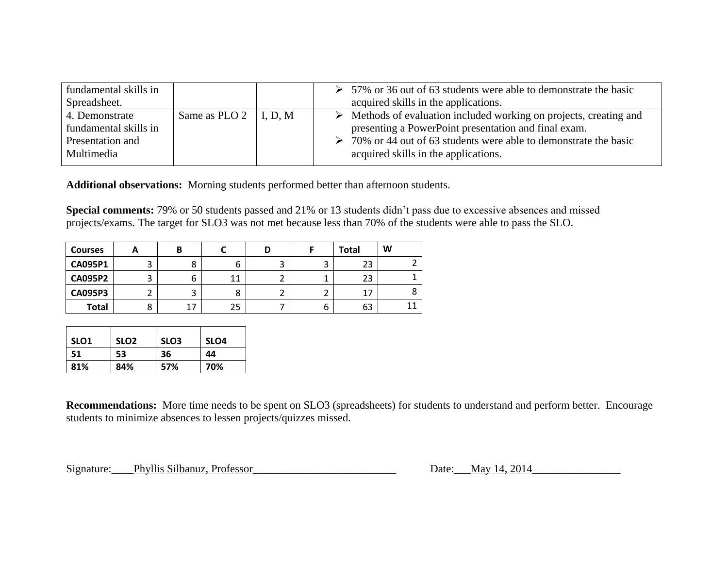| fundamental skills in<br>Spreadsheet.                                     |                               | 57% or 36 out of 63 students were able to demonstrate the basic<br>➤<br>acquired skills in the applications.                                                                                                                                              |
|---------------------------------------------------------------------------|-------------------------------|-----------------------------------------------------------------------------------------------------------------------------------------------------------------------------------------------------------------------------------------------------------|
| 4. Demonstrate<br>fundamental skills in<br>Presentation and<br>Multimedia | Same as PLO 2 $\vert$ I, D, M | $\triangleright$ Methods of evaluation included working on projects, creating and<br>presenting a PowerPoint presentation and final exam.<br>70% or 44 out of 63 students were able to demonstrate the basic<br>➤<br>acquired skills in the applications. |

**Additional observations:** Morning students performed better than afternoon students.

**Special comments:** 79% or 50 students passed and 21% or 13 students didn't pass due to excessive absences and missed projects/exams. The target for SLO3 was not met because less than 70% of the students were able to pass the SLO.

| <b>Courses</b> | n      | Β  |    |   |   | <b>Total</b> | W |
|----------------|--------|----|----|---|---|--------------|---|
| <b>CA095P1</b> | ς<br>د | 8  | ь  | ت |   | 23           |   |
| <b>CA095P2</b> | 3      | ь  | 11 |   |   | 23           |   |
| <b>CA095P3</b> | ے      | ັ  | 8  | ← |   | 17           |   |
| <b>Total</b>   | 8      | 17 | 25 |   | b | 63           |   |

| SLO <sub>1</sub> | SLO <sub>2</sub> | SLO <sub>3</sub> | SLO <sub>4</sub> |
|------------------|------------------|------------------|------------------|
| 51               | 53               | 36               | 44               |
| 81%              | 84%              | 57%              | 70%              |

**Recommendations:** More time needs to be spent on SLO3 (spreadsheets) for students to understand and perform better. Encourage students to minimize absences to lessen projects/quizzes missed.

Signature: Phyllis Silbanuz, Professor<br>
Date: May 14, 2014